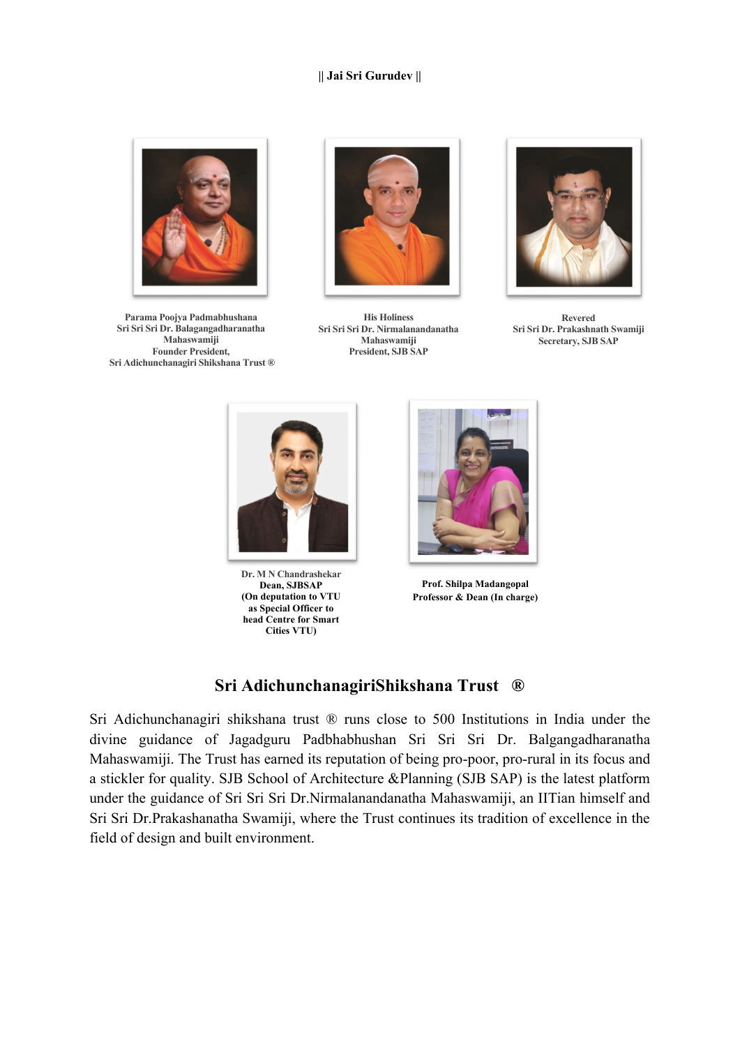#### **|| Jai Sri Gurudev ||**



**Parama Poojya Padmabhushana Sri Sri Sri Dr. Balagangadharanatha Mahaswamiji Founder President, Sri Adichunchanagiri Shikshana Trust ®**



**His Holiness Sri Sri Sri Dr. Nirmalanandanatha Mahaswamiji President, SJB SAP**



**Revered Sri Sri Dr. Prakashnath Swamiji Secretary, SJB SAP**



**Dr. M N Chandrashekar Dean, SJBSAP (On deputation to VTU as Special Officer to head Centre for Smart Cities VTU)**



**Prof. Shilpa Madangopal Professor & Dean (In charge)**

## **Sri AdichunchanagiriShikshana Trust ®**

Sri Adichunchanagiri shikshana trust ® runs close to 500 Institutions in India under the divine guidance of Jagadguru Padbhabhushan Sri Sri Sri Dr. Balgangadharanatha Mahaswamiji. The Trust has earned its reputation of being pro-poor, pro-rural in its focus and a stickler for quality. SJB School of Architecture &Planning (SJB SAP) is the latest platform under the guidance of Sri Sri Sri Dr.Nirmalanandanatha Mahaswamiji, an IITian himself and Sri Sri Dr.Prakashanatha Swamiji, where the Trust continues its tradition of excellence in the field of design and built environment.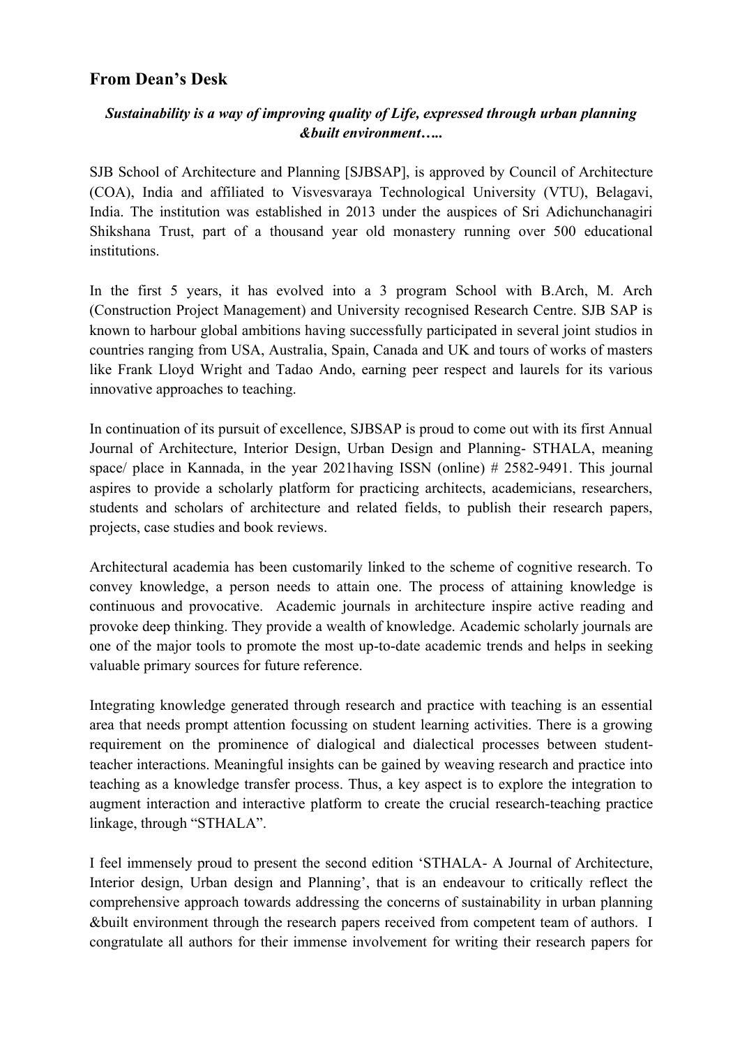# **From Dean's Desk**

# *Sustainability is a way of improving quality of Life, expressed through urban planning &built environment…..*

SJB School of Architecture and Planning [SJBSAP], is approved by Council of Architecture (COA), India and affiliated to Visvesvaraya Technological University (VTU), Belagavi, India. The institution was established in 2013 under the auspices of Sri Adichunchanagiri Shikshana Trust, part of a thousand year old monastery running over 500 educational institutions.

In the first 5 years, it has evolved into a 3 program School with B.Arch, M. Arch (Construction Project Management) and University recognised Research Centre. SJB SAP is known to harbour global ambitions having successfully participated in several joint studios in countries ranging from USA, Australia, Spain, Canada and UK and tours of works of masters like Frank Lloyd Wright and Tadao Ando, earning peer respect and laurels for its various innovative approaches to teaching.

In continuation of its pursuit of excellence, SJBSAP is proud to come out with its first Annual Journal of Architecture, Interior Design, Urban Design and Planning- STHALA, meaning space/ place in Kannada, in the year 2021 having ISSN (online) # 2582-9491. This journal aspires to provide a scholarly platform for practicing architects, academicians, researchers, students and scholars of architecture and related fields, to publish their research papers, projects, case studies and book reviews.

Architectural academia has been customarily linked to the scheme of cognitive research. To convey knowledge, a person needs to attain one. The process of attaining knowledge is continuous and provocative. Academic journals in architecture inspire active reading and provoke deep thinking. They provide a wealth of knowledge. Academic scholarly journals are one of the major tools to promote the most up-to-date academic trends and helps in seeking valuable primary sources for future reference.

Integrating knowledge generated through research and practice with teaching is an essential area that needs prompt attention focussing on student learning activities. There is a growing requirement on the prominence of dialogical and dialectical processes between studentteacher interactions. Meaningful insights can be gained by weaving research and practice into teaching as a knowledge transfer process. Thus, a key aspect is to explore the integration to augment interaction and interactive platform to create the crucial research-teaching practice linkage, through "STHALA".

I feel immensely proud to present the second edition 'STHALA- A Journal of Architecture, Interior design, Urban design and Planning', that is an endeavour to critically reflect the comprehensive approach towards addressing the concerns of sustainability in urban planning &built environment through the research papers received from competent team of authors. I congratulate all authors for their immense involvement for writing their research papers for